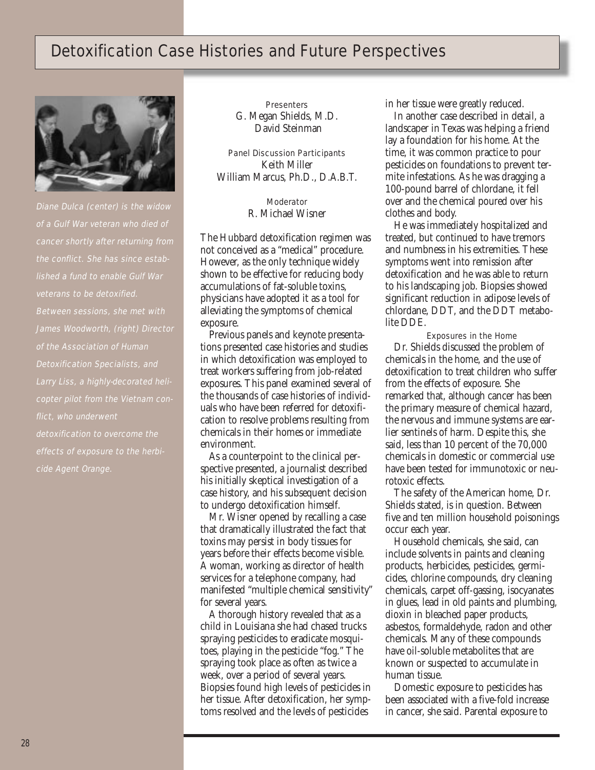# Detoxification Case Histories and Future Perspectives



Diane Dulca (center) is the widow of a Gulf War veteran who died of cancer shortly after returning from the conflict. She has since established a fund to enable Gulf War Between sessions, she met with James Woodworth, (right) Director of the Association of Human Detoxification Specialists, and Larry Liss, a highly-decorated helicopter pilot from the Vietnam condetoxification to overcome the effects of exposure to the herbicide Agent Orange.

**Presenters** G. Megan Shields, M.D. David Steinman

Panel Discussion Participants Keith Miller William Marcus, Ph.D., D.A.B.T.

# Moderator R. Michael Wisner

The Hubbard detoxification regimen was not conceived as a "medical" procedure. However, as the only technique widely shown to be effective for reducing body accumulations of fat-soluble toxins, physicians have adopted it as a tool for alleviating the symptoms of chemical exposure.

Previous panels and keynote presentations presented case histories and studies in which detoxification was employed to treat workers suffering from job-related exposures. This panel examined several of the thousands of case histories of individuals who have been referred for detoxification to resolve problems resulting from chemicals in their homes or immediate environment.

As a counterpoint to the clinical perspective presented, a journalist described his initially skeptical investigation of a case history, and his subsequent decision to undergo detoxification himself.

Mr. Wisner opened by recalling a case that dramatically illustrated the fact that toxins may persist in body tissues for years before their effects become visible. A woman, working as director of health services for a telephone company, had manifested "multiple chemical sensitivity" for several years.

A thorough history revealed that as a child in Louisiana she had chased trucks spraying pesticides to eradicate mosquitoes, playing in the pesticide "fog." The spraying took place as often as twice a week, over a period of several years. Biopsies found high levels of pesticides in her tissue. After detoxification, her symptoms resolved and the levels of pesticides

in her tissue were greatly reduced.

In another case described in detail, a landscaper in Texas was helping a friend lay a foundation for his home. At the time, it was common practice to pour pesticides on foundations to prevent termite infestations. As he was dragging a 100-pound barrel of chlordane, it fell over and the chemical poured over his clothes and body.

He was immediately hospitalized and treated, but continued to have tremors and numbness in his extremities. These symptoms went into remission after detoxification and he was able to return to his landscaping job. Biopsies showed significant reduction in adipose levels of chlordane, DDT, and the DDT metabolite DDE.

Exposures in the Home Dr. Shields discussed the problem of chemicals in the home, and the use of detoxification to treat children who suffer from the effects of exposure. She remarked that, although cancer has been the primary measure of chemical hazard, the nervous and immune systems are earlier sentinels of harm. Despite this, she said, less than 10 percent of the 70,000 chemicals in domestic or commercial use have been tested for immunotoxic or neurotoxic effects.

The safety of the American home, Dr. Shields stated, is in question. Between five and ten million household poisonings occur each year.

Household chemicals, she said, can include solvents in paints and cleaning products, herbicides, pesticides, germicides, chlorine compounds, dry cleaning chemicals, carpet off-gassing, isocyanates in glues, lead in old paints and plumbing, dioxin in bleached paper products, asbestos, formaldehyde, radon and other chemicals. Many of these compounds have oil-soluble metabolites that are known or suspected to accumulate in human tissue.

Domestic exposure to pesticides has been associated with a five-fold increase in cancer, she said. Parental exposure to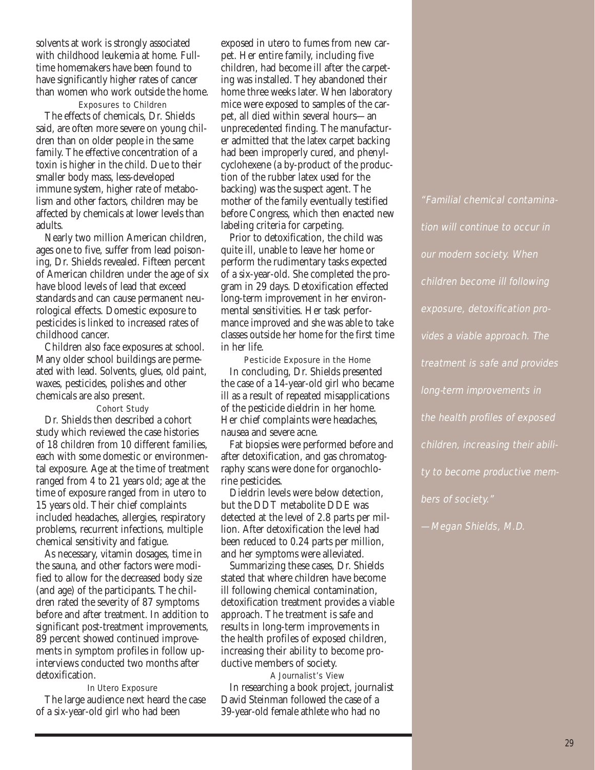solvents at work is strongly associated with childhood leukemia at home. Fulltime homemakers have been found to have significantly higher rates of cancer than women who work outside the home.

#### Exposures to Children

The effects of chemicals, Dr. Shields said, are often more severe on young children than on older people in the same family. The effective concentration of a toxin is higher in the child. Due to their smaller body mass, less-developed immune system, higher rate of metabolism and other factors, children may be affected by chemicals at lower levels than adults.

Nearly two million American children, ages one to five, suffer from lead poisoning, Dr. Shields revealed. Fifteen percent of American children under the age of six have blood levels of lead that exceed standards and can cause permanent neurological effects. Domestic exposure to pesticides is linked to increased rates of childhood cancer.

Children also face exposures at school. Many older school buildings are permeated with lead. Solvents, glues, old paint, waxes, pesticides, polishes and other chemicals are also present.

### Cohort Study

Dr. Shields then described a cohort study which reviewed the case histories of 18 children from 10 different families, each with some domestic or environmental exposure. Age at the time of treatment ranged from 4 to 21 years old; age at the time of exposure ranged from in utero to 15 years old. Their chief complaints included headaches, allergies, respiratory problems, recurrent infections, multiple chemical sensitivity and fatigue.

As necessary, vitamin dosages, time in the sauna, and other factors were modified to allow for the decreased body size (and age) of the participants. The children rated the severity of 87 symptoms before and after treatment. In addition to significant post-treatment improvements, 89 percent showed continued improvements in symptom profiles in follow upinterviews conducted two months after detoxification.

In Utero Exposure The large audience next heard the case of a six-year-old girl who had been

exposed in utero to fumes from new carpet. Her entire family, including five children, had become ill after the carpeting was installed. They abandoned their home three weeks later. When laboratory mice were exposed to samples of the carpet, all died within several hours—an unprecedented finding. The manufacturer admitted that the latex carpet backing had been improperly cured, and phenylcyclohexene (a by-product of the production of the rubber latex used for the backing) was the suspect agent. The mother of the family eventually testified before Congress, which then enacted new labeling criteria for carpeting.

Prior to detoxification, the child was quite ill, unable to leave her home or perform the rudimentary tasks expected of a six-year-old. She completed the program in 29 days. Detoxification effected long-term improvement in her environmental sensitivities. Her task performance improved and she was able to take classes outside her home for the first time in her life.

Pesticide Exposure in the Home In concluding, Dr. Shields presented the case of a 14-year-old girl who became ill as a result of repeated misapplications of the pesticide dieldrin in her home. Her chief complaints were headaches, nausea and severe acne.

Fat biopsies were performed before and after detoxification, and gas chromatography scans were done for organochlorine pesticides.

Dieldrin levels were below detection, but the DDT metabolite DDE was detected at the level of 2.8 parts per million. After detoxification the level had been reduced to 0.24 parts per million, and her symptoms were alleviated.

Summarizing these cases, Dr. Shields stated that where children have become ill following chemical contamination, detoxification treatment provides a viable approach. The treatment is safe and results in long-term improvements in the health profiles of exposed children, increasing their ability to become productive members of society.

A Journalist's View In researching a book project, journalist David Steinman followed the case of a 39-year-old female athlete who had no

"Familial chemical contamination will continue to occur in our modern society. When children become ill following exposure, detoxification provides a viable approach. The treatment is safe and provides long-term improvements in the health profiles of exposed children, increasing their ability to become productive members of society." —Megan Shields, M.D.